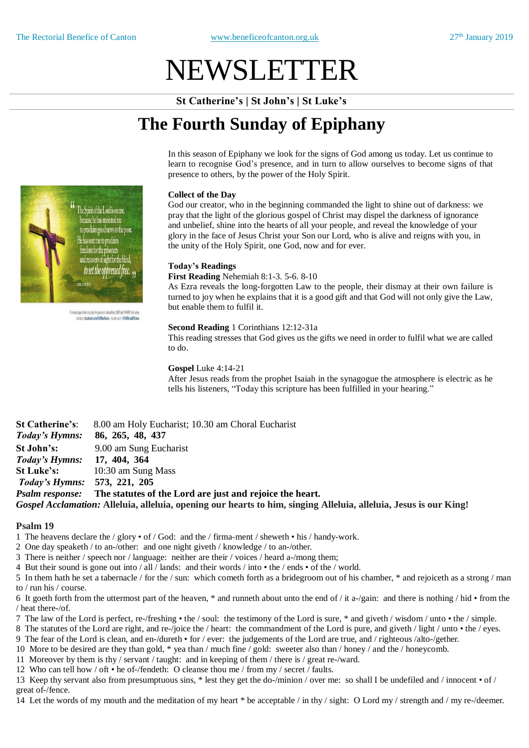# NEWSLETTER

**St Catherine's | St John's | St Luke's**

# **The Fourth Sunday of Epiphany**

In this season of Epiphany we look for the signs of God among us today. Let us continue to learn to recognise God's presence, and in turn to allow ourselves to become signs of that presence to others, by the power of the Holy Spirit.

#### **Collect of the Day**

God our creator, who in the beginning commanded the light to shine out of darkness: we pray that the light of the glorious gospel of Christ may dispel the darkness of ignorance and unbelief, shine into the hearts of all your people, and reveal the knowledge of your glory in the face of Jesus Christ your Son our Lord, who is alive and reigns with you, in the unity of the Holy Spirit, one God, now and for ever.

## **Today's Readings**

**First Reading** Nehemiah 8:1-3. 5-6. 8-10

As Ezra reveals the long-forgotten Law to the people, their dismay at their own failure is turned to joy when he explains that it is a good gift and that God will not only give the Law, but enable them to fulfil it.

#### **Second Reading** 1 Corinthians 12:12-31a

This reading stresses that God gives us the gifts we need in order to fulfil what we are called to do.

#### **Gospel** Luke 4:14-21

After Jesus reads from the prophet Isaiah in the synagogue the atmosphere is electric as he tells his listeners, "Today this scripture has been fulfilled in your hearing."

**St Catherine's**: 8.00 am Holy Eucharist; 10.30 am Choral Eucharist *Today's Hymns:* **86, 265, 48, 437 St John's:** 9.00 am Sung Eucharist *Today's Hymns:* **17, 404, 364 St Luke's:** 10:30 am Sung Mass *Today's Hymns:* **573, 221, 205** *Psalm response:* **The statutes of the Lord are just and rejoice the heart.** *Gospel Acclamation:* **Alleluia, alleluia, opening our hearts to him, singing Alleluia, alleluia, Jesus is our King!**

#### **Psalm 19**

- 1 The heavens declare the / glory of / God: and the / firma-ment / sheweth his / handy-work.
- 2 One day speaketh / to an-/other: and one night giveth / knowledge / to an-/other.
- 3 There is neither / speech nor / language: neither are their / voices / heard a-/mong them;
- 4 But their sound is gone out into / all / lands: and their words / into the / ends of the / world.
- 5 In them hath he set a tabernacle / for the / sun: which cometh forth as a bridegroom out of his chamber, \* and rejoiceth as a strong / man to / run his / course.
- 6 It goeth forth from the uttermost part of the heaven, \* and runneth about unto the end of / it a-/gain: and there is nothing / hid from the / heat there-/of.
- 7 The law of the Lord is perfect, re-/freshing the / soul: the testimony of the Lord is sure, \* and giveth / wisdom / unto the / simple.
- 8 The statutes of the Lord are right, and re-/joice the / heart: the commandment of the Lord is pure, and giveth / light / unto the / eyes.
- 9 The fear of the Lord is clean, and en-/dureth for / ever: the judgements of the Lord are true, and / righteous /alto-/gether.
- 10 More to be desired are they than gold, \* yea than / much fine / gold: sweeter also than / honey / and the / honeycomb.
- 11 Moreover by them is thy / servant / taught: and in keeping of them / there is / great re-/ward.
- 12 Who can tell how / oft he of-/fendeth: O cleanse thou me / from my / secret / faults.

13 Keep thy servant also from presumptuous sins, \* lest they get the do-/minion / over me: so shall I be undefiled and / innocent • of / great of-/fence.

14 Let the words of my mouth and the meditation of my heart \* be acceptable / in thy / sight: O Lord my / strength and / my re-/deemer.



To encourage others to pray for peace in Jerusalem. LIKE and SHARE this yers LIKE NE AT facebook.com/DrMikeEvans FOLLOW US AT @DrMichaelDEvans